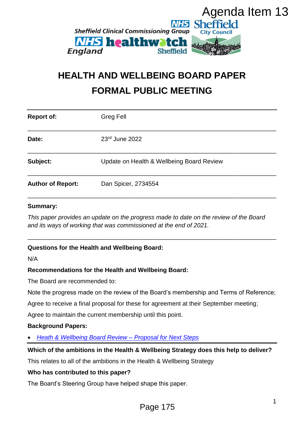

# **HEALTH AND WELLBEING BOARD PAPER FORMAL PUBLIC MEETING**

| <b>England</b>                                                          | Agenda Item 13<br><b>NHS Sheffield</b><br><b>Sheffield Clinical Commissioning Group</b><br><b>City Council</b><br><b><i>NHS</i></b> healthwatch<br>Sheffield |
|-------------------------------------------------------------------------|--------------------------------------------------------------------------------------------------------------------------------------------------------------|
| <b>HEALTH AND WELLBEING BOARD PAPER</b><br><b>FORMAL PUBLIC MEETING</b> |                                                                                                                                                              |
| <b>Report of:</b>                                                       | <b>Greg Fell</b>                                                                                                                                             |
| Date:                                                                   | 23rd June 2022                                                                                                                                               |
| Subject:                                                                | Update on Health & Wellbeing Board Review                                                                                                                    |
| <b>Author of Report:</b>                                                | Dan Spicer, 2734554                                                                                                                                          |
| <b>Summary:</b>                                                         | This paper provides an update on the progress made to date on the review of the Board<br>and its ways of working that was commissioned at the end of 2021.   |
| N/A                                                                     | <b>Questions for the Health and Wellbeing Board:</b>                                                                                                         |
|                                                                         | <b>Recommendations for the Health and Wellbeing Board:</b>                                                                                                   |
| The Board are recommended to:                                           |                                                                                                                                                              |
|                                                                         | Note the progress made on the review of the Board's membership and Terms of Reference;                                                                       |
|                                                                         | Agree to receive a final proposal for these for agreement at their September meeting;                                                                        |
|                                                                         | Agree to maintain the current membership until this point.                                                                                                   |
| <b>Background Papers:</b>                                               |                                                                                                                                                              |
| $\bullet$                                                               | <b>Heath &amp; Wellbeing Board Review - Proposal for Next Steps</b>                                                                                          |
|                                                                         | Which of the ambitions in the Health & Wellbeing Strategy does this help to deliver?                                                                         |
|                                                                         | This relates to all of the ambitions in the Health & Wellbeing Strategy                                                                                      |
| Who has contributed to this paper?                                      |                                                                                                                                                              |
|                                                                         | The Board's Steering Group have helped shape this paper.                                                                                                     |
|                                                                         | 1<br>Page 175                                                                                                                                                |

#### **Summary:**

### **Questions for the Health and Wellbeing Board:**

#### **Recommendations for the Health and Wellbeing Board:**

#### **Background Papers:**

#### **Which of the ambitions in the Health & Wellbeing Strategy does this help to deliver?**

#### **Who has contributed to this paper?**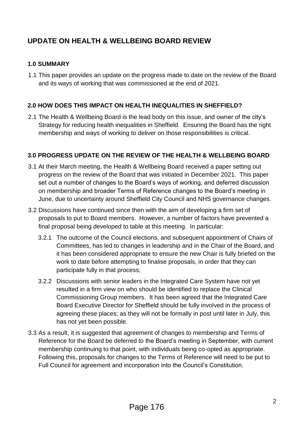# **UPDATE ON HEALTH & WELLBEING BOARD REVIEW**

## **1.0 SUMMARY**

1.1 This paper provides an update on the progress made to date on the review of the Board and its ways of working that was commissioned at the end of 2021.

# **2.0 HOW DOES THIS IMPACT ON HEALTH INEQUALITIES IN SHEFFIELD?**

2.1 The Health & Wellbeing Board is the lead body on this issue, and owner of the city's Strategy for reducing health inequalities in Sheffield. Ensuring the Board has the right membership and ways of working to deliver on those responsibilities is critical.

# **3.0 PROGRESS UPDATE ON THE REVIEW OF THE HEALTH & WELLBEING BOARD**

- 3.1 At their March meeting, the Health & Wellbeing Board received a paper setting out progress on the review of the Board that was initiated in December 2021. This paper set out a number of changes to the Board's ways of working, and deferred discussion on membership and broader Terms of Reference changes to the Board's meeting in June, due to uncertainty around Sheffield City Council and NHS governance changes.
- 3.2 Discussions have continued since then with the aim of developing a firm set of proposals to put to Board members. However, a number of factors have prevented a final proposal being developed to table at this meeting. In particular:
	- 3.2.1 The outcome of the Council elections, and subsequent appointment of Chairs of Committees, has led to changes in leadership and in the Chair of the Board, and it has been considered appropriate to ensure the new Chair is fully briefed on the work to date before attempting to finalise proposals, in order that they can participate fully in that process;
	- 3.2.2 Discussions with senior leaders in the Integrated Care System have not yet resulted in a firm view on who should be identified to replace the Clinical Commissioning Group members. It has been agreed that the Integrated Care Board Executive Director for Sheffield should be fully involved in the process of agreeing these places; as they will not be formally in post until later in July, this has not yet been possible.
- 3.3 As a result, it is suggested that agreement of changes to membership and Terms of Reference for the Board be deferred to the Board's meeting in September, with current membership continuing to that point, with individuals being co-opted as appropriate. Following this, proposals for changes to the Terms of Reference will need to be put to Full Council for agreement and incorporation into the Council's Constitution.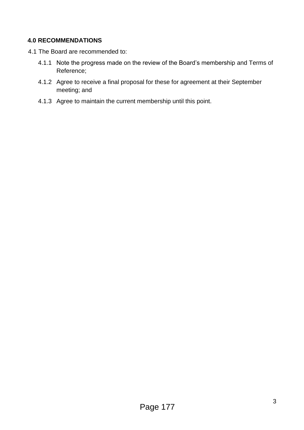# **4.0 RECOMMENDATIONS**

- 4.1 The Board are recommended to:
	- 4.1.1 Note the progress made on the review of the Board's membership and Terms of Reference;
	- 4.1.2 Agree to receive a final proposal for these for agreement at their September meeting; and
	- 4.1.3 Agree to maintain the current membership until this point.